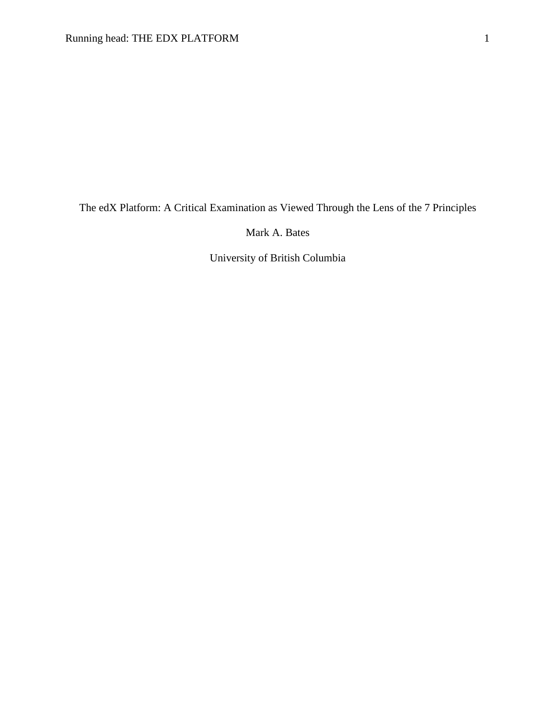The edX Platform: A Critical Examination as Viewed Through the Lens of the 7 Principles

Mark A. Bates

University of British Columbia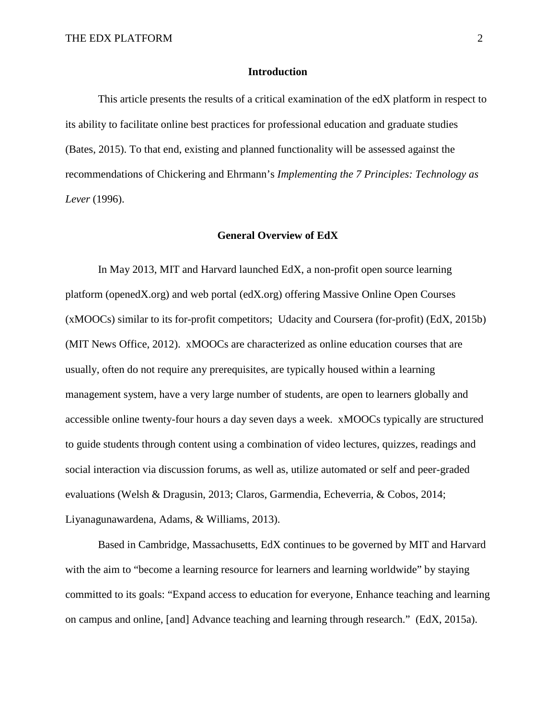#### **Introduction**

This article presents the results of a critical examination of the edX platform in respect to its ability to facilitate online best practices for professional education and graduate studies (Bates, 2015). To that end, existing and planned functionality will be assessed against the recommendations of Chickering and Ehrmann's *Implementing the 7 Principles: Technology as Lever* (1996).

#### **General Overview of EdX**

In May 2013, MIT and Harvard launched EdX, a non-profit open source learning platform (openedX.org) and web portal (edX.org) offering Massive Online Open Courses (xMOOCs) similar to its for-profit competitors; Udacity and Coursera (for-profit) (EdX, 2015b) (MIT News Office, 2012). xMOOCs are characterized as online education courses that are usually, often do not require any prerequisites, are typically housed within a learning management system, have a very large number of students, are open to learners globally and accessible online twenty-four hours a day seven days a week. xMOOCs typically are structured to guide students through content using a combination of video lectures, quizzes, readings and social interaction via discussion forums, as well as, utilize automated or self and peer-graded evaluations (Welsh & Dragusin, 2013; Claros, Garmendia, Echeverria, & Cobos, 2014; Liyanagunawardena, Adams, & Williams, 2013).

Based in Cambridge, Massachusetts, EdX continues to be governed by MIT and Harvard with the aim to "become a learning resource for learners and learning worldwide" by staying committed to its goals: "Expand access to education for everyone, Enhance teaching and learning on campus and online, [and] Advance teaching and learning through research." (EdX, 2015a).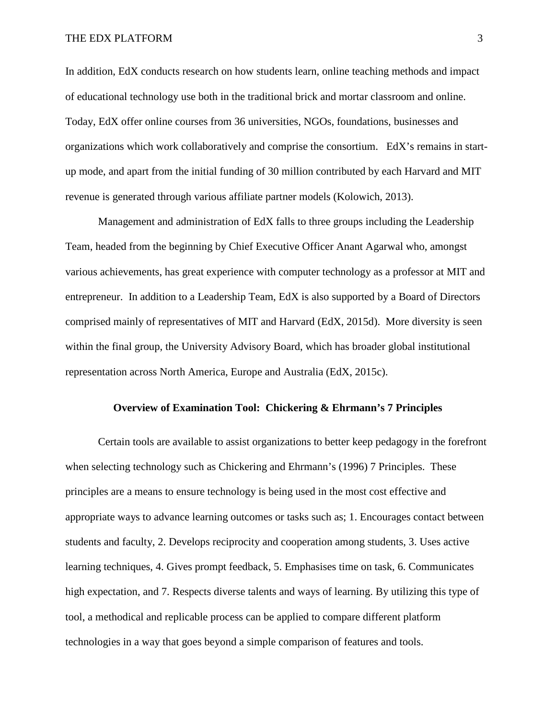#### THE EDX PLATFORM 3

In addition, EdX conducts research on how students learn, online teaching methods and impact of educational technology use both in the traditional brick and mortar classroom and online. Today, EdX offer online courses from 36 universities, NGOs, foundations, businesses and organizations which work collaboratively and comprise the consortium. EdX's remains in startup mode, and apart from the initial funding of 30 million contributed by each Harvard and MIT revenue is generated through various affiliate partner models (Kolowich, 2013).

Management and administration of EdX falls to three groups including the Leadership Team, headed from the beginning by Chief Executive Officer Anant Agarwal who, amongst various achievements, has great experience with computer technology as a professor at MIT and entrepreneur. In addition to a Leadership Team, EdX is also supported by a Board of Directors comprised mainly of representatives of MIT and Harvard (EdX, 2015d). More diversity is seen within the final group, the University Advisory Board, which has broader global institutional representation across North America, Europe and Australia (EdX, 2015c).

#### **Overview of Examination Tool: Chickering & Ehrmann's 7 Principles**

Certain tools are available to assist organizations to better keep pedagogy in the forefront when selecting technology such as Chickering and Ehrmann's (1996) 7 Principles. These principles are a means to ensure technology is being used in the most cost effective and appropriate ways to advance learning outcomes or tasks such as; 1. Encourages contact between students and faculty, 2. Develops reciprocity and cooperation among students, 3. Uses active learning techniques, 4. Gives prompt feedback, 5. Emphasises time on task, 6. Communicates high expectation, and 7. Respects diverse talents and ways of learning. By utilizing this type of tool, a methodical and replicable process can be applied to compare different platform technologies in a way that goes beyond a simple comparison of features and tools.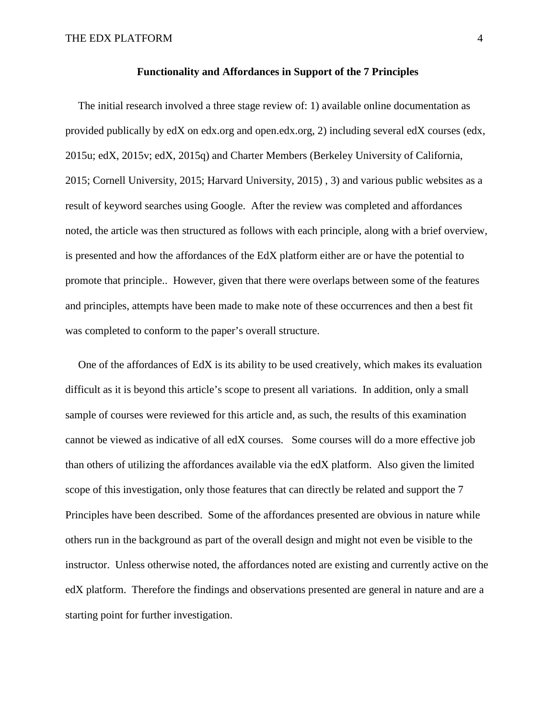#### **Functionality and Affordances in Support of the 7 Principles**

The initial research involved a three stage review of: 1) available online documentation as provided publically by edX on edx.org and open.edx.org, 2) including several edX courses (edx, 2015u; edX, 2015v; edX, 2015q) and Charter Members (Berkeley University of California, 2015; Cornell University, 2015; Harvard University, 2015) , 3) and various public websites as a result of keyword searches using Google. After the review was completed and affordances noted, the article was then structured as follows with each principle, along with a brief overview, is presented and how the affordances of the EdX platform either are or have the potential to promote that principle.. However, given that there were overlaps between some of the features and principles, attempts have been made to make note of these occurrences and then a best fit was completed to conform to the paper's overall structure.

One of the affordances of EdX is its ability to be used creatively, which makes its evaluation difficult as it is beyond this article's scope to present all variations. In addition, only a small sample of courses were reviewed for this article and, as such, the results of this examination cannot be viewed as indicative of all edX courses. Some courses will do a more effective job than others of utilizing the affordances available via the edX platform. Also given the limited scope of this investigation, only those features that can directly be related and support the 7 Principles have been described. Some of the affordances presented are obvious in nature while others run in the background as part of the overall design and might not even be visible to the instructor. Unless otherwise noted, the affordances noted are existing and currently active on the edX platform. Therefore the findings and observations presented are general in nature and are a starting point for further investigation.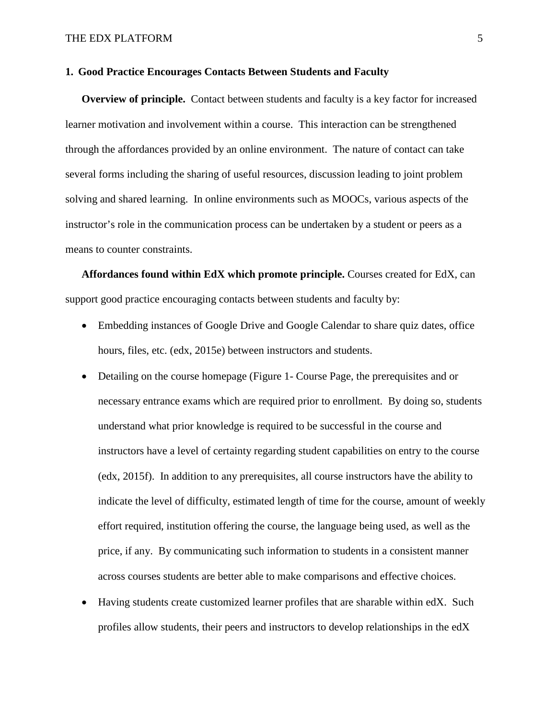#### **1. Good Practice Encourages Contacts Between Students and Faculty**

**Overview of principle.** Contact between students and faculty is a key factor for increased learner motivation and involvement within a course. This interaction can be strengthened through the affordances provided by an online environment. The nature of contact can take several forms including the sharing of useful resources, discussion leading to joint problem solving and shared learning. In online environments such as MOOCs, various aspects of the instructor's role in the communication process can be undertaken by a student or peers as a means to counter constraints.

**Affordances found within EdX which promote principle.** Courses created for EdX, can support good practice encouraging contacts between students and faculty by:

- Embedding instances of Google Drive and Google Calendar to share quiz dates, office hours, files, etc. (edx, 2015e) between instructors and students.
- Detailing on the course homepage (Figure 1- [Course Page,](#page-23-0) the prerequisites and or necessary entrance exams which are required prior to enrollment. By doing so, students understand what prior knowledge is required to be successful in the course and instructors have a level of certainty regarding student capabilities on entry to the course (edx, 2015f). In addition to any prerequisites, all course instructors have the ability to indicate the level of difficulty, estimated length of time for the course, amount of weekly effort required, institution offering the course, the language being used, as well as the price, if any. By communicating such information to students in a consistent manner across courses students are better able to make comparisons and effective choices.
- Having students create customized learner profiles that are sharable within edX. Such profiles allow students, their peers and instructors to develop relationships in the edX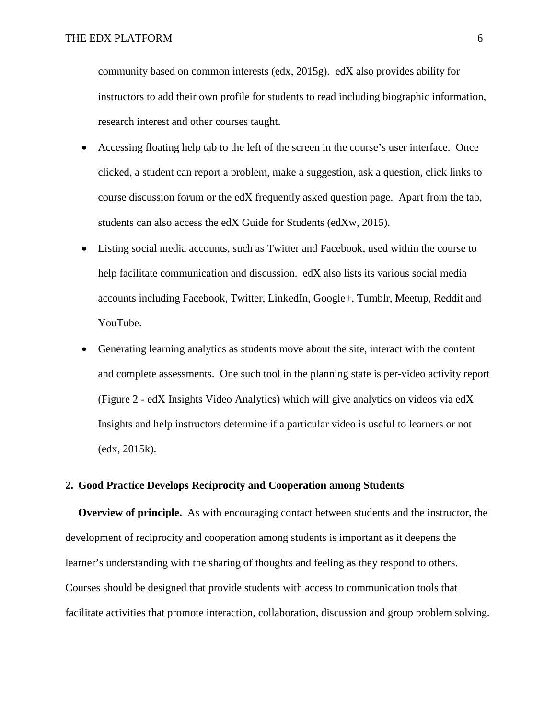community based on common interests (edx, 2015g). edX also provides ability for instructors to add their own profile for students to read including biographic information, research interest and other courses taught.

- Accessing floating help tab to the left of the screen in the course's user interface. Once clicked, a student can report a problem, make a suggestion, ask a question, click links to course discussion forum or the edX frequently asked question page. Apart from the tab, students can also access the edX Guide for Students (edXw, 2015).
- Listing social media accounts, such as Twitter and Facebook, used within the course to help facilitate communication and discussion. edX also lists its various social media accounts including Facebook, Twitter, LinkedIn, Google+, Tumblr, Meetup, Reddit and YouTube.
- Generating learning analytics as students move about the site, interact with the content and complete assessments. One such tool in the planning state is per-video activity report (Figure 2 - [edX Insights Video Analytics\)](#page-23-1) which will give analytics on videos via edX Insights and help instructors determine if a particular video is useful to learners or not (edx, 2015k).

## **2. Good Practice Develops Reciprocity and Cooperation among Students**

**Overview of principle.** As with encouraging contact between students and the instructor, the development of reciprocity and cooperation among students is important as it deepens the learner's understanding with the sharing of thoughts and feeling as they respond to others. Courses should be designed that provide students with access to communication tools that facilitate activities that promote interaction, collaboration, discussion and group problem solving.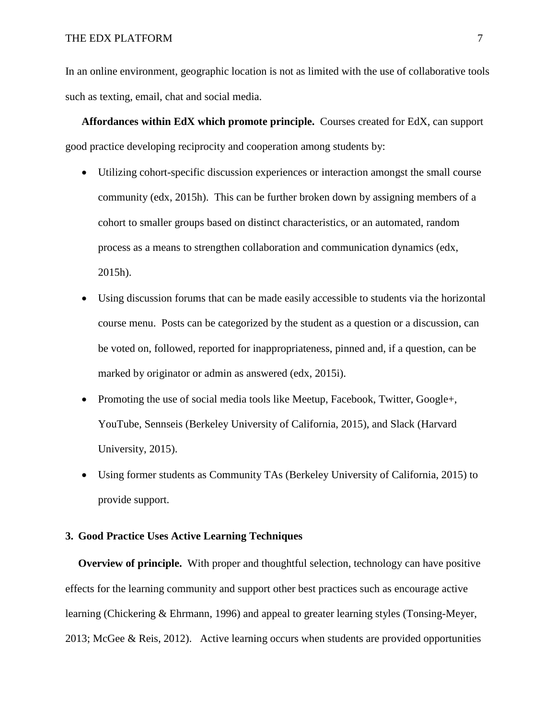In an online environment, geographic location is not as limited with the use of collaborative tools such as texting, email, chat and social media.

**Affordances within EdX which promote principle.** Courses created for EdX, can support good practice developing reciprocity and cooperation among students by:

- Utilizing cohort-specific discussion experiences or interaction amongst the small course community (edx, 2015h). This can be further broken down by assigning members of a cohort to smaller groups based on distinct characteristics, or an automated, random process as a means to strengthen collaboration and communication dynamics (edx, 2015h).
- Using discussion forums that can be made easily accessible to students via the horizontal course menu. Posts can be categorized by the student as a question or a discussion, can be voted on, followed, reported for inappropriateness, pinned and, if a question, can be marked by originator or admin as answered (edx, 2015i).
- Promoting the use of social media tools like Meetup, Facebook, Twitter, Google+, YouTube, Sennseis (Berkeley University of California, 2015), and Slack (Harvard University, 2015).
- Using former students as Community TAs (Berkeley University of California, 2015) to provide support.

#### **3. Good Practice Uses Active Learning Techniques**

**Overview of principle.** With proper and thoughtful selection, technology can have positive effects for the learning community and support other best practices such as encourage active learning (Chickering & Ehrmann, 1996) and appeal to greater learning styles (Tonsing-Meyer, 2013; McGee & Reis, 2012). Active learning occurs when students are provided opportunities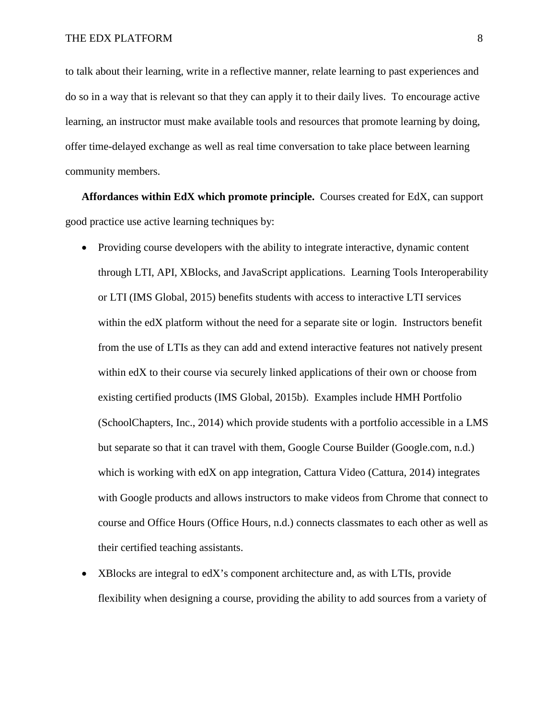to talk about their learning, write in a reflective manner, relate learning to past experiences and do so in a way that is relevant so that they can apply it to their daily lives. To encourage active learning, an instructor must make available tools and resources that promote learning by doing, offer time-delayed exchange as well as real time conversation to take place between learning community members.

**Affordances within EdX which promote principle.** Courses created for EdX, can support good practice use active learning techniques by:

- Providing course developers with the ability to integrate interactive, dynamic content through LTI, API, XBlocks, and JavaScript applications. Learning Tools Interoperability or LTI (IMS Global, 2015) benefits students with access to interactive LTI services within the edX platform without the need for a separate site or login. Instructors benefit from the use of LTIs as they can add and extend interactive features not natively present within edX to their course via securely linked applications of their own or choose from existing certified products (IMS Global, 2015b). Examples include HMH Portfolio (SchoolChapters, Inc., 2014) which provide students with a portfolio accessible in a LMS but separate so that it can travel with them, Google Course Builder (Google.com, n.d.) which is working with edX on app integration, Cattura Video (Cattura, 2014) integrates with Google products and allows instructors to make videos from Chrome that connect to course and Office Hours (Office Hours, n.d.) connects classmates to each other as well as their certified teaching assistants.
- XBlocks are integral to edX's component architecture and, as with LTIs, provide flexibility when designing a course, providing the ability to add sources from a variety of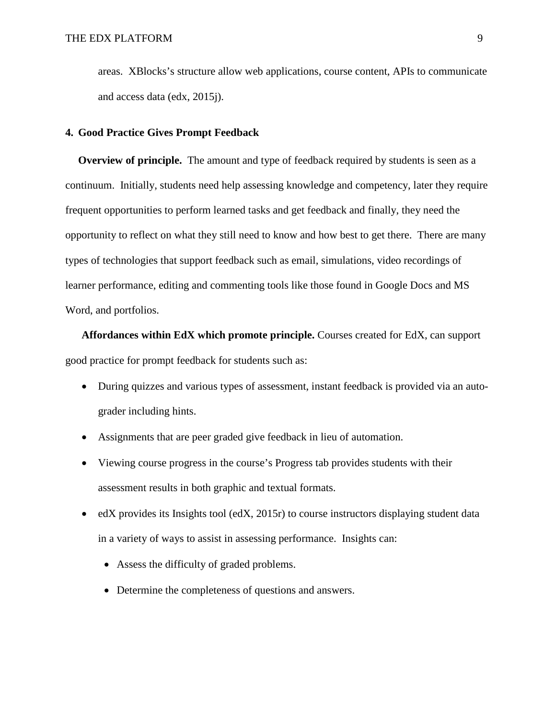areas. XBlocks's structure allow web applications, course content, APIs to communicate and access data (edx, 2015j).

#### **4. Good Practice Gives Prompt Feedback**

**Overview of principle.** The amount and type of feedback required by students is seen as a continuum. Initially, students need help assessing knowledge and competency, later they require frequent opportunities to perform learned tasks and get feedback and finally, they need the opportunity to reflect on what they still need to know and how best to get there. There are many types of technologies that support feedback such as email, simulations, video recordings of learner performance, editing and commenting tools like those found in Google Docs and MS Word, and portfolios.

**Affordances within EdX which promote principle.** Courses created for EdX, can support good practice for prompt feedback for students such as:

- During quizzes and various types of assessment, instant feedback is provided via an autograder including hints.
- Assignments that are peer graded give feedback in lieu of automation.
- Viewing course progress in the course's Progress tab provides students with their assessment results in both graphic and textual formats.
- edX provides its Insights tool (edX, 2015r) to course instructors displaying student data in a variety of ways to assist in assessing performance. Insights can:
	- Assess the difficulty of graded problems.
	- Determine the completeness of questions and answers.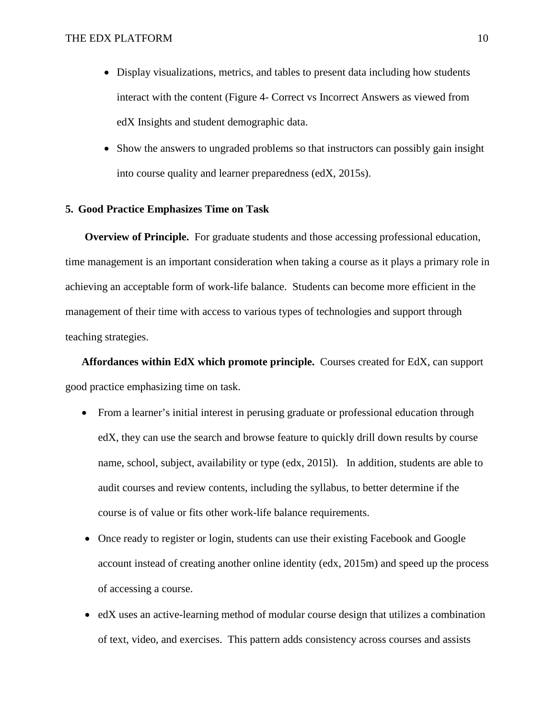- Display visualizations, metrics, and tables to present data including how students interact with the content (Figure 4- [Correct vs Incorrect Answers as viewed from](#page-24-0)  [edX Insights](#page-24-0) and student demographic data.
- Show the answers to ungraded problems so that instructors can possibly gain insight into course quality and learner preparedness (edX, 2015s).

## **5. Good Practice Emphasizes Time on Task**

**Overview of Principle.** For graduate students and those accessing professional education, time management is an important consideration when taking a course as it plays a primary role in achieving an acceptable form of work-life balance. Students can become more efficient in the management of their time with access to various types of technologies and support through teaching strategies.

**Affordances within EdX which promote principle.** Courses created for EdX, can support good practice emphasizing time on task.

- From a learner's initial interest in perusing graduate or professional education through edX, they can use the search and browse feature to quickly drill down results by course name, school, subject, availability or type (edx, 2015l). In addition, students are able to audit courses and review contents, including the syllabus, to better determine if the course is of value or fits other work-life balance requirements.
- Once ready to register or login, students can use their existing Facebook and Google account instead of creating another online identity (edx, 2015m) and speed up the process of accessing a course.
- edX uses an active-learning method of modular course design that utilizes a combination of text, video, and exercises. This pattern adds consistency across courses and assists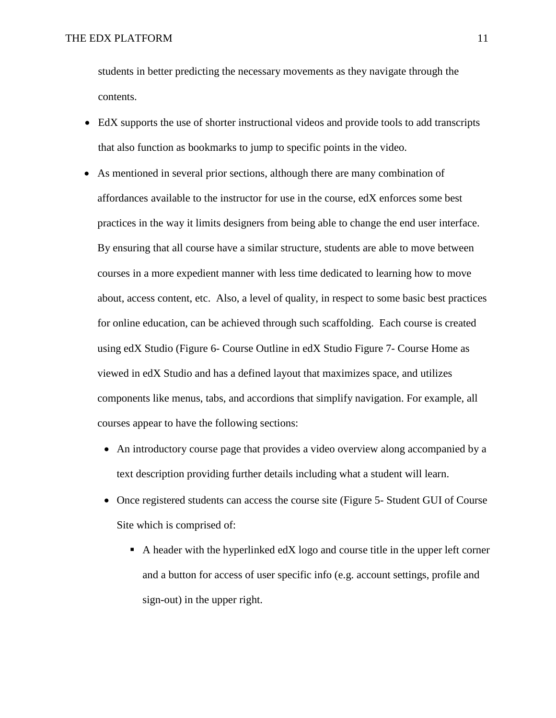students in better predicting the necessary movements as they navigate through the contents.

- EdX supports the use of shorter instructional videos and provide tools to add transcripts that also function as bookmarks to jump to specific points in the video.
- As mentioned in several prior sections, although there are many combination of affordances available to the instructor for use in the course, edX enforces some best practices in the way it limits designers from being able to change the end user interface. By ensuring that all course have a similar structure, students are able to move between courses in a more expedient manner with less time dedicated to learning how to move about, access content, etc. Also, a level of quality, in respect to some basic best practices for online education, can be achieved through such scaffolding. Each course is created using edX Studio (Figure 6- [Course Outline in edX Studio](#page-25-0) Figure 7- [Course Home as](#page-26-0)  [viewed in edX Studio](#page-26-0) and has a defined layout that maximizes space, and utilizes components like menus, tabs, and accordions that simplify navigation. For example, all courses appear to have the following sections:
	- An introductory course page that provides a video overview along accompanied by a text description providing further details including what a student will learn.
	- Once registered students can access the course site (Figure 5- [Student GUI of Course](#page-25-1)  [Site](#page-25-1) which is comprised of:
		- $\blacksquare$  A header with the hyperlinked edX logo and course title in the upper left corner and a button for access of user specific info (e.g. account settings, profile and sign-out) in the upper right.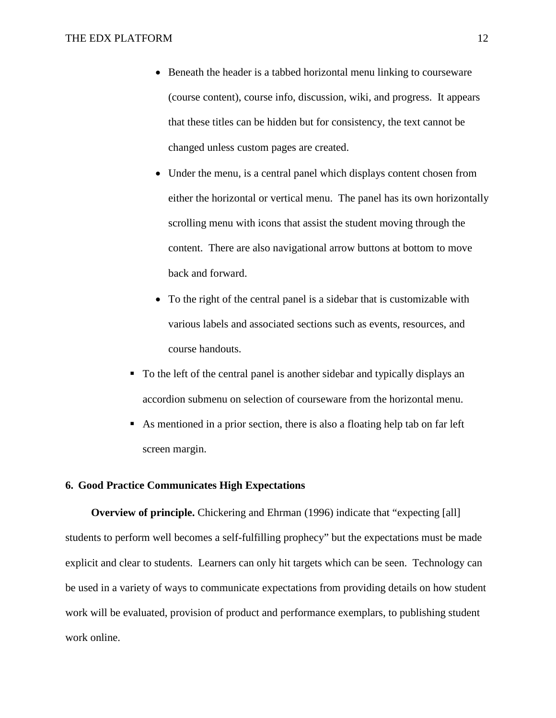- Beneath the header is a tabbed horizontal menu linking to courseware (course content), course info, discussion, wiki, and progress. It appears that these titles can be hidden but for consistency, the text cannot be changed unless custom pages are created.
- Under the menu, is a central panel which displays content chosen from either the horizontal or vertical menu. The panel has its own horizontally scrolling menu with icons that assist the student moving through the content. There are also navigational arrow buttons at bottom to move back and forward.
- To the right of the central panel is a sidebar that is customizable with various labels and associated sections such as events, resources, and course handouts.
- To the left of the central panel is another sidebar and typically displays an accordion submenu on selection of courseware from the horizontal menu.
- As mentioned in a prior section, there is also a floating help tab on far left screen margin.

#### **6. Good Practice Communicates High Expectations**

**Overview of principle.** Chickering and Ehrman (1996) indicate that "expecting [all] students to perform well becomes a self-fulfilling prophecy" but the expectations must be made explicit and clear to students. Learners can only hit targets which can be seen. Technology can be used in a variety of ways to communicate expectations from providing details on how student work will be evaluated, provision of product and performance exemplars, to publishing student work online.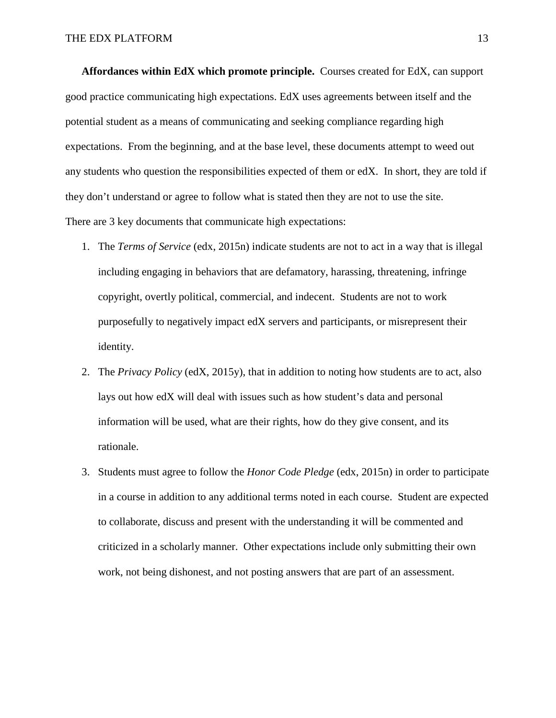**Affordances within EdX which promote principle.** Courses created for EdX, can support good practice communicating high expectations. EdX uses agreements between itself and the potential student as a means of communicating and seeking compliance regarding high expectations. From the beginning, and at the base level, these documents attempt to weed out any students who question the responsibilities expected of them or edX. In short, they are told if they don't understand or agree to follow what is stated then they are not to use the site. There are 3 key documents that communicate high expectations:

- 1. The *Terms of Service* (edx, 2015n) indicate students are not to act in a way that is illegal including engaging in behaviors that are defamatory, harassing, threatening, infringe copyright, overtly political, commercial, and indecent. Students are not to work purposefully to negatively impact edX servers and participants, or misrepresent their identity.
- 2. The *Privacy Policy* (edX, 2015y), that in addition to noting how students are to act, also lays out how edX will deal with issues such as how student's data and personal information will be used, what are their rights, how do they give consent, and its rationale.
- 3. Students must agree to follow the *Honor Code Pledge* (edx, 2015n) in order to participate in a course in addition to any additional terms noted in each course. Student are expected to collaborate, discuss and present with the understanding it will be commented and criticized in a scholarly manner. Other expectations include only submitting their own work, not being dishonest, and not posting answers that are part of an assessment.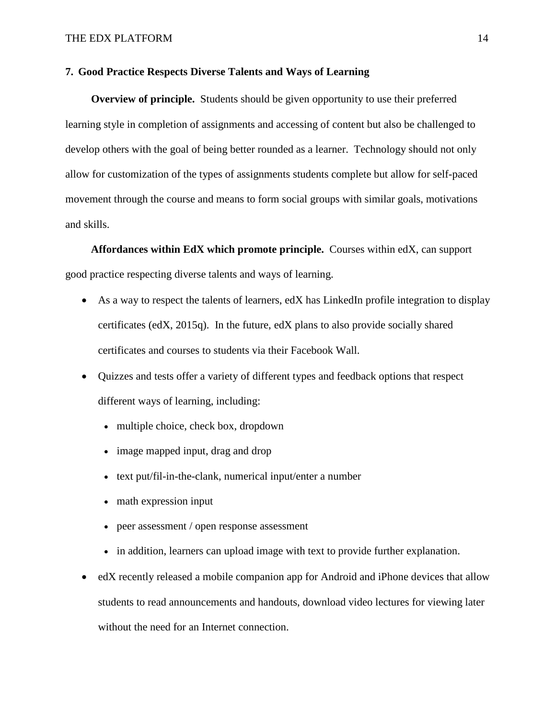#### **7. Good Practice Respects Diverse Talents and Ways of Learning**

**Overview of principle.** Students should be given opportunity to use their preferred learning style in completion of assignments and accessing of content but also be challenged to develop others with the goal of being better rounded as a learner. Technology should not only allow for customization of the types of assignments students complete but allow for self-paced movement through the course and means to form social groups with similar goals, motivations and skills.

**Affordances within EdX which promote principle.** Courses within edX, can support good practice respecting diverse talents and ways of learning.

- As a way to respect the talents of learners, edX has LinkedIn profile integration to display certificates (edX, 2015q). In the future, edX plans to also provide socially shared certificates and courses to students via their Facebook Wall.
- Quizzes and tests offer a variety of different types and feedback options that respect different ways of learning, including:
	- multiple choice, check box, dropdown
	- image mapped input, drag and drop
	- text put/fil-in-the-clank, numerical input/enter a number
	- math expression input
	- peer assessment / open response assessment
	- in addition, learners can upload image with text to provide further explanation.
- edX recently released a mobile companion app for Android and iPhone devices that allow students to read announcements and handouts, download video lectures for viewing later without the need for an Internet connection.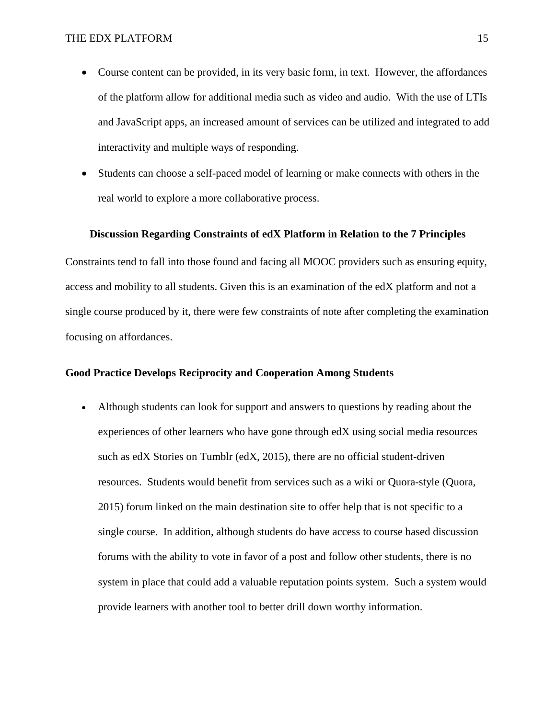- Course content can be provided, in its very basic form, in text. However, the affordances of the platform allow for additional media such as video and audio. With the use of LTIs and JavaScript apps, an increased amount of services can be utilized and integrated to add interactivity and multiple ways of responding.
- Students can choose a self-paced model of learning or make connects with others in the real world to explore a more collaborative process.

#### **Discussion Regarding Constraints of edX Platform in Relation to the 7 Principles**

Constraints tend to fall into those found and facing all MOOC providers such as ensuring equity, access and mobility to all students. Given this is an examination of the edX platform and not a single course produced by it, there were few constraints of note after completing the examination focusing on affordances.

#### **Good Practice Develops Reciprocity and Cooperation Among Students**

• Although students can look for support and answers to questions by reading about the experiences of other learners who have gone through edX using social media resources such as edX Stories on Tumblr (edX, 2015), there are no official student-driven resources. Students would benefit from services such as a wiki or Quora-style (Quora, 2015) forum linked on the main destination site to offer help that is not specific to a single course. In addition, although students do have access to course based discussion forums with the ability to vote in favor of a post and follow other students, there is no system in place that could add a valuable reputation points system. Such a system would provide learners with another tool to better drill down worthy information.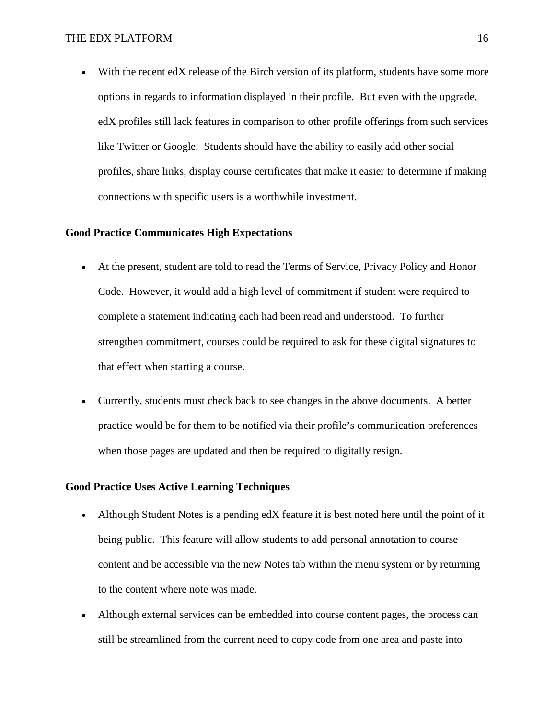• With the recent edX release of the Birch version of its platform, students have some more options in regards to information displayed in their profile. But even with the upgrade, edX profiles still lack features in comparison to other profile offerings from such services like Twitter or Google. Students should have the ability to easily add other social profiles, share links, display course certificates that make it easier to determine if making connections with specific users is a worthwhile investment.

#### **Good Practice Communicates High Expectations**

- At the present, student are told to read the Terms of Service, Privacy Policy and Honor Code. However, it would add a high level of commitment if student were required to complete a statement indicating each had been read and understood. To further strengthen commitment, courses could be required to ask for these digital signatures to that effect when starting a course.
- Currently, students must check back to see changes in the above documents. A better practice would be for them to be notified via their profile's communication preferences when those pages are updated and then be required to digitally resign.

#### **Good Practice Uses Active Learning Techniques**

- Although Student Notes is a pending edX feature it is best noted here until the point of it being public. This feature will allow students to add personal annotation to course content and be accessible via the new Notes tab within the menu system or by returning to the content where note was made.
- Although external services can be embedded into course content pages, the process can still be streamlined from the current need to copy code from one area and paste into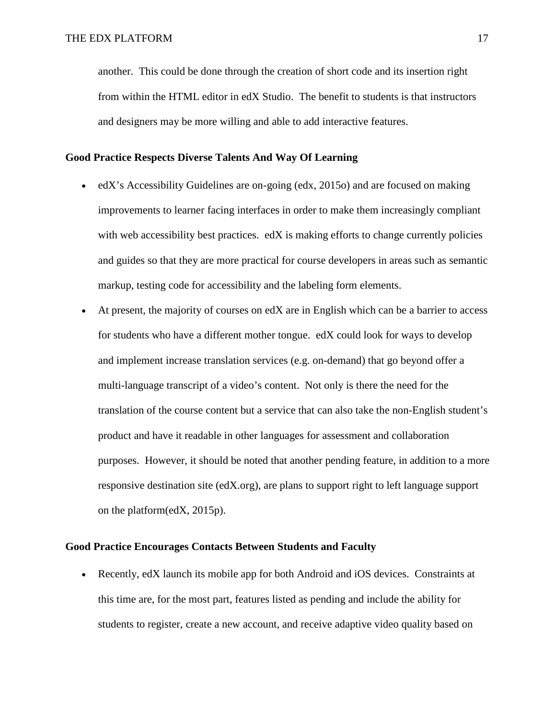another. This could be done through the creation of short code and its insertion right from within the HTML editor in edX Studio. The benefit to students is that instructors and designers may be more willing and able to add interactive features.

#### **Good Practice Respects Diverse Talents And Way Of Learning**

- edX's Accessibility Guidelines are on-going (edx, 2015o) and are focused on making improvements to learner facing interfaces in order to make them increasingly compliant with web accessibility best practices. edX is making efforts to change currently policies and guides so that they are more practical for course developers in areas such as semantic markup, testing code for accessibility and the labeling form elements.
- At present, the majority of courses on  $e$ d $X$  are in English which can be a barrier to access for students who have a different mother tongue. edX could look for ways to develop and implement increase translation services (e.g. on-demand) that go beyond offer a multi-language transcript of a video's content. Not only is there the need for the translation of the course content but a service that can also take the non-English student's product and have it readable in other languages for assessment and collaboration purposes. However, it should be noted that another pending feature, in addition to a more responsive destination site (edX.org), are plans to support right to left language support on the platform(edX, 2015p).

#### **Good Practice Encourages Contacts Between Students and Faculty**

• Recently, edX launch its mobile app for both Android and iOS devices. Constraints at this time are, for the most part, features listed as pending and include the ability for students to register, create a new account, and receive adaptive video quality based on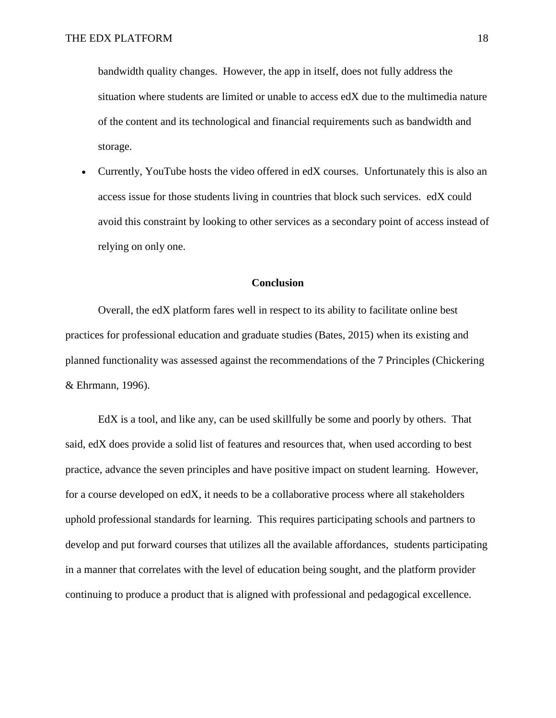bandwidth quality changes. However, the app in itself, does not fully address the situation where students are limited or unable to access edX due to the multimedia nature of the content and its technological and financial requirements such as bandwidth and storage.

• Currently, YouTube hosts the video offered in edX courses. Unfortunately this is also an access issue for those students living in countries that block such services. edX could avoid this constraint by looking to other services as a secondary point of access instead of relying on only one.

#### **Conclusion**

Overall, the edX platform fares well in respect to its ability to facilitate online best practices for professional education and graduate studies (Bates, 2015) when its existing and planned functionality was assessed against the recommendations of the 7 Principles (Chickering & Ehrmann, 1996).

EdX is a tool, and like any, can be used skillfully be some and poorly by others. That said, edX does provide a solid list of features and resources that, when used according to best practice, advance the seven principles and have positive impact on student learning. However, for a course developed on edX, it needs to be a collaborative process where all stakeholders uphold professional standards for learning. This requires participating schools and partners to develop and put forward courses that utilizes all the available affordances, students participating in a manner that correlates with the level of education being sought, and the platform provider continuing to produce a product that is aligned with professional and pedagogical excellence.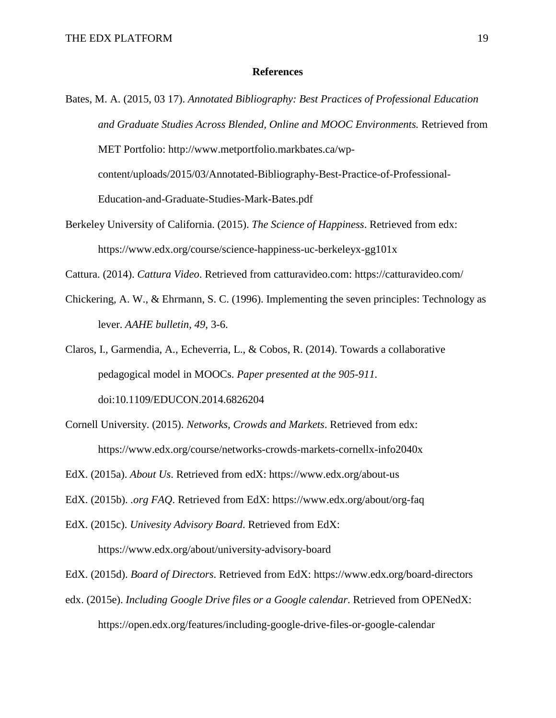#### **References**

- Bates, M. A. (2015, 03 17). *Annotated Bibliography: Best Practices of Professional Education and Graduate Studies Across Blended, Online and MOOC Environments.* Retrieved from MET Portfolio: http://www.metportfolio.markbates.ca/wpcontent/uploads/2015/03/Annotated-Bibliography-Best-Practice-of-Professional-Education-and-Graduate-Studies-Mark-Bates.pdf
- Berkeley University of California. (2015). *The Science of Happiness*. Retrieved from edx: https://www.edx.org/course/science-happiness-uc-berkeleyx-gg101x

Cattura. (2014). *Cattura Video*. Retrieved from catturavideo.com: https://catturavideo.com/

Chickering, A. W., & Ehrmann, S. C. (1996). Implementing the seven principles: Technology as lever. *AAHE bulletin, 49*, 3-6.

Claros, I., Garmendia, A., Echeverria, L., & Cobos, R. (2014). Towards a collaborative pedagogical model in MOOCs. *Paper presented at the 905-911.* doi:10.1109/EDUCON.2014.6826204

- Cornell University. (2015). *Networks, Crowds and Markets*. Retrieved from edx: https://www.edx.org/course/networks-crowds-markets-cornellx-info2040x
- EdX. (2015a). *About Us*. Retrieved from edX: https://www.edx.org/about-us

EdX. (2015b). *.org FAQ*. Retrieved from EdX: https://www.edx.org/about/org-faq

EdX. (2015c). *Univesity Advisory Board*. Retrieved from EdX:

https://www.edx.org/about/university-advisory-board

- EdX. (2015d). *Board of Directors*. Retrieved from EdX: https://www.edx.org/board-directors
- edx. (2015e). *Including Google Drive files or a Google calendar*. Retrieved from OPENedX: https://open.edx.org/features/including-google-drive-files-or-google-calendar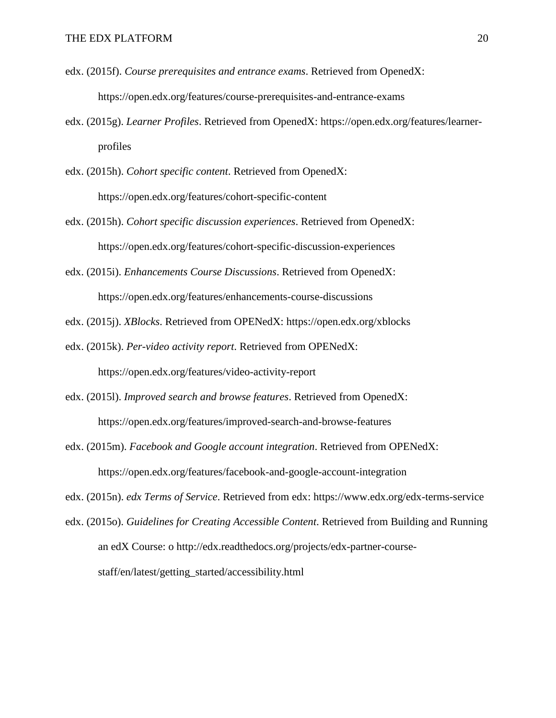- edx. (2015f). *Course prerequisites and entrance exams*. Retrieved from OpenedX: https://open.edx.org/features/course-prerequisites-and-entrance-exams
- edx. (2015g). *Learner Profiles*. Retrieved from OpenedX: https://open.edx.org/features/learnerprofiles
- edx. (2015h). *Cohort specific content*. Retrieved from OpenedX: https://open.edx.org/features/cohort-specific-content
- edx. (2015h). *Cohort specific discussion experiences*. Retrieved from OpenedX: https://open.edx.org/features/cohort-specific-discussion-experiences
- edx. (2015i). *Enhancements Course Discussions*. Retrieved from OpenedX: https://open.edx.org/features/enhancements-course-discussions
- edx. (2015j). *XBlocks*. Retrieved from OPENedX: https://open.edx.org/xblocks
- edx. (2015k). *Per-video activity report*. Retrieved from OPENedX: https://open.edx.org/features/video-activity-report
- edx. (2015l). *Improved search and browse features*. Retrieved from OpenedX: https://open.edx.org/features/improved-search-and-browse-features
- edx. (2015m). *Facebook and Google account integration*. Retrieved from OPENedX: https://open.edx.org/features/facebook-and-google-account-integration

edx. (2015n). *edx Terms of Service*. Retrieved from edx: https://www.edx.org/edx-terms-service

edx. (2015o). *Guidelines for Creating Accessible Content*. Retrieved from Building and Running an edX Course: o http://edx.readthedocs.org/projects/edx-partner-coursestaff/en/latest/getting\_started/accessibility.html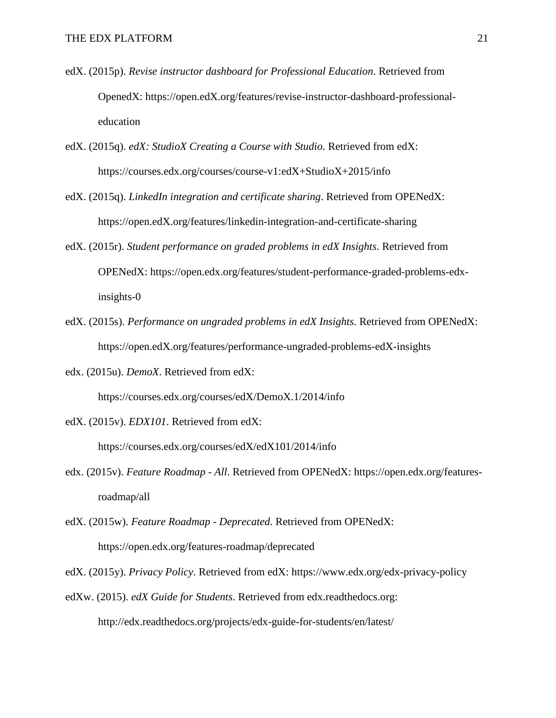- edX. (2015p). *Revise instructor dashboard for Professional Education*. Retrieved from OpenedX: https://open.edX.org/features/revise-instructor-dashboard-professionaleducation
- edX. (2015q). *edX: StudioX Creating a Course with Studio*. Retrieved from edX: https://courses.edx.org/courses/course-v1:edX+StudioX+2015/info
- edX. (2015q). *LinkedIn integration and certificate sharing*. Retrieved from OPENedX: https://open.edX.org/features/linkedin-integration-and-certificate-sharing
- edX. (2015r). *Student performance on graded problems in edX Insights*. Retrieved from OPENedX: https://open.edx.org/features/student-performance-graded-problems-edxinsights-0
- edX. (2015s). *Performance on ungraded problems in edX Insights*. Retrieved from OPENedX: https://open.edX.org/features/performance-ungraded-problems-edX-insights
- edx. (2015u). *DemoX*. Retrieved from edX:

https://courses.edx.org/courses/edX/DemoX.1/2014/info

edX. (2015v). *EDX101*. Retrieved from edX:

https://courses.edx.org/courses/edX/edX101/2014/info

- edx. (2015v). *Feature Roadmap - All*. Retrieved from OPENedX: https://open.edx.org/featuresroadmap/all
- edX. (2015w). *Feature Roadmap - Deprecated*. Retrieved from OPENedX: https://open.edx.org/features-roadmap/deprecated
- edX. (2015y). *Privacy Policy*. Retrieved from edX: https://www.edx.org/edx-privacy-policy
- edXw. (2015). *edX Guide for Students*. Retrieved from edx.readthedocs.org: http://edx.readthedocs.org/projects/edx-guide-for-students/en/latest/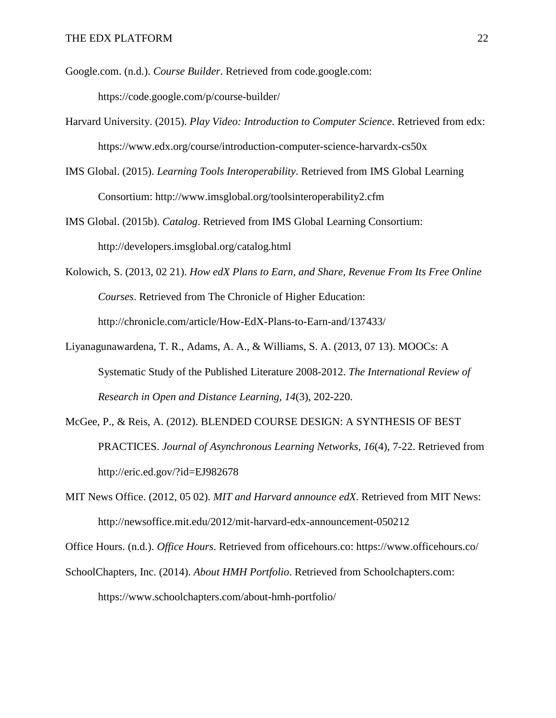- Google.com. (n.d.). *Course Builder*. Retrieved from code.google.com: https://code.google.com/p/course-builder/
- Harvard University. (2015). *Play Video: Introduction to Computer Science*. Retrieved from edx: https://www.edx.org/course/introduction-computer-science-harvardx-cs50x
- IMS Global. (2015). *Learning Tools Interoperability*. Retrieved from IMS Global Learning Consortium: http://www.imsglobal.org/toolsinteroperability2.cfm
- IMS Global. (2015b). *Catalog*. Retrieved from IMS Global Learning Consortium: http://developers.imsglobal.org/catalog.html
- Kolowich, S. (2013, 02 21). *How edX Plans to Earn, and Share, Revenue From Its Free Online Courses*. Retrieved from The Chronicle of Higher Education: http://chronicle.com/article/How-EdX-Plans-to-Earn-and/137433/
- Liyanagunawardena, T. R., Adams, A. A., & Williams, S. A. (2013, 07 13). MOOCs: A Systematic Study of the Published Literature 2008-2012. *The International Review of Research in Open and Distance Learning, 14*(3), 202-220.
- McGee, P., & Reis, A. (2012). BLENDED COURSE DESIGN: A SYNTHESIS OF BEST PRACTICES. *Journal of Asynchronous Learning Networks, 16*(4), 7-22. Retrieved from http://eric.ed.gov/?id=EJ982678
- MIT News Office. (2012, 05 02). *MIT and Harvard announce edX*. Retrieved from MIT News: http://newsoffice.mit.edu/2012/mit-harvard-edx-announcement-050212

Office Hours. (n.d.). *Office Hours*. Retrieved from officehours.co: https://www.officehours.co/

SchoolChapters, Inc. (2014). *About HMH Portfolio*. Retrieved from Schoolchapters.com: https://www.schoolchapters.com/about-hmh-portfolio/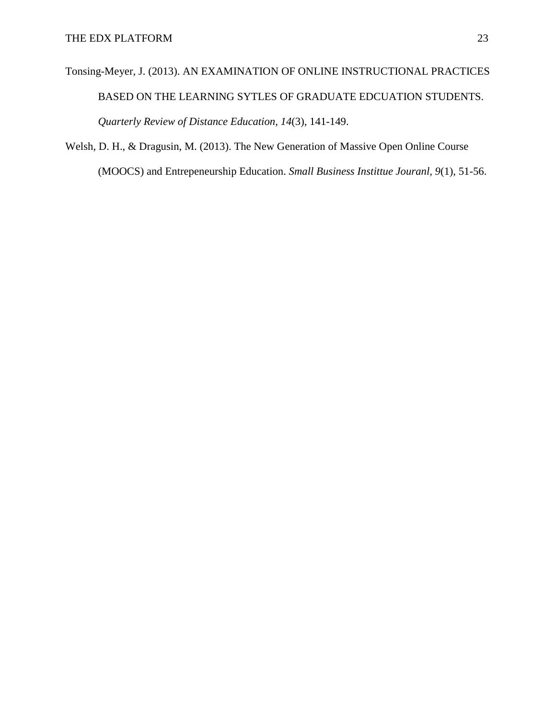# Tonsing-Meyer, J. (2013). AN EXAMINATION OF ONLINE INSTRUCTIONAL PRACTICES BASED ON THE LEARNING SYTLES OF GRADUATE EDCUATION STUDENTS. *Quarterly Review of Distance Education, 14*(3), 141-149.

Welsh, D. H., & Dragusin, M. (2013). The New Generation of Massive Open Online Course (MOOCS) and Entrepeneurship Education. *Small Business Instittue Jouranl, 9*(1), 51-56.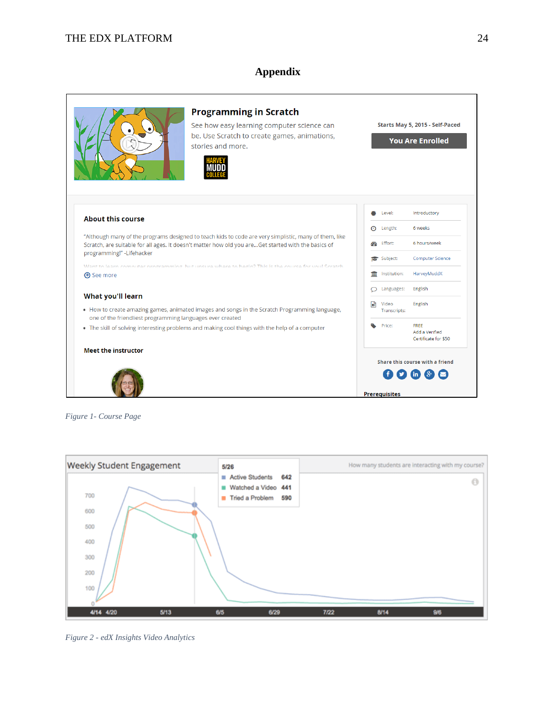# **Appendix**



*Figure 1- Course Page*

<span id="page-23-0"></span>

<span id="page-23-1"></span>*Figure 2 - edX Insights Video Analytics*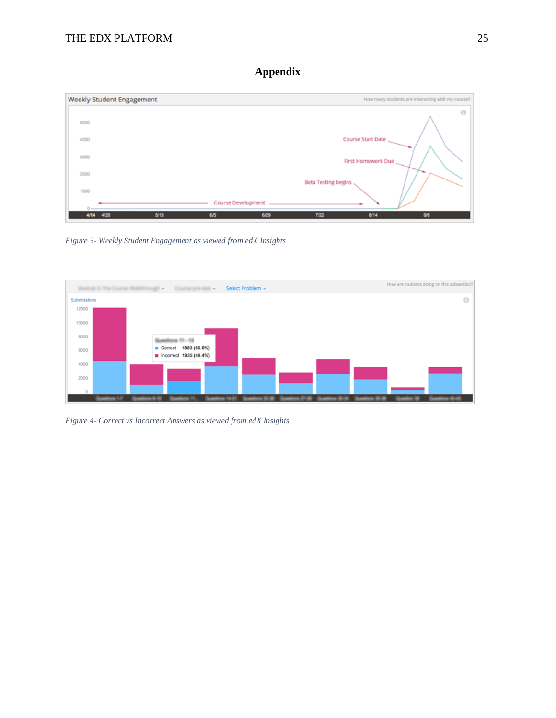# **Appendix**



*Figure 3- Weekly Student Engagement as viewed from edX Insights*



<span id="page-24-0"></span>*Figure 4- Correct vs Incorrect Answers as viewed from edX Insights*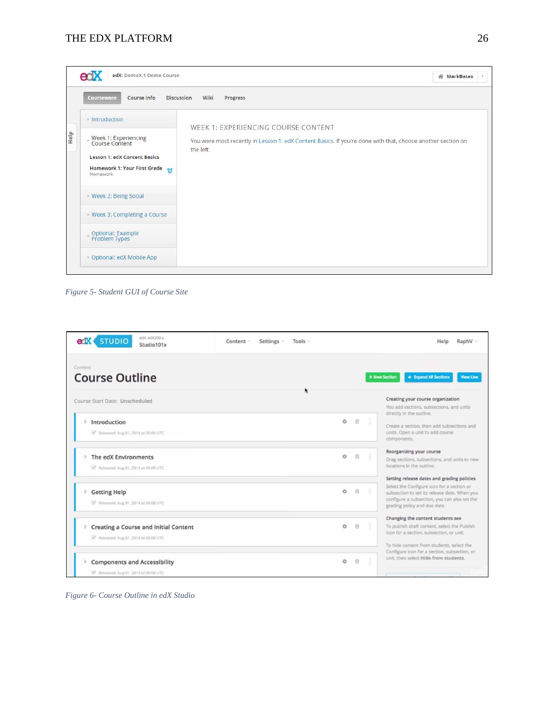

*Figure 5- Student GUI of Course Site*

<span id="page-25-1"></span>

| edX edX200.x<br><b>STUDIO</b><br>eriX<br>Studio101x                                 | Settings -<br>Content -<br>$Tools =$ |    |   | Help<br>RaphV -                                                                                                                                                                                                          |
|-------------------------------------------------------------------------------------|--------------------------------------|----|---|--------------------------------------------------------------------------------------------------------------------------------------------------------------------------------------------------------------------------|
| Content<br><b>Course Outline</b>                                                    |                                      |    |   | + Expand All Sections<br>+ New Section<br><b>View Live</b>                                                                                                                                                               |
| Course Start Date: Unscheduled                                                      |                                      |    |   | Creating your course organization<br>You add sections, subsections, and units                                                                                                                                            |
| Introduction<br>b.<br>Released: Aug 01, 2014 at 00:00 UTC                           |                                      | ö  | 合 | directly in the outline.<br>Create a section, then add subsections and<br>units. Open a unit to add course<br>components.                                                                                                |
| The edX Environments<br>SE Released: Aug 01, 2014 at 00:00 UTC                      |                                      | ó. | 官 | Reorganizing your course<br>Drag sections, subsections, and units to new<br>locations in the outline.                                                                                                                    |
| r<br><b>Getting Help</b><br>S Released: Aug 01, 2014 at 00:00 UTC                   |                                      | ö  | 8 | Setting release dates and grading policies<br>Select the Configure icon for a section or<br>subsection to set its release date. When you<br>configure a subsection, you can also set the<br>grading policy and due date. |
| Ъ.<br>Creating a Course and Initial Content<br>Released: Aug 01, 2014 at 00:00 UTC  |                                      | ö  | 宣 | Changing the content students see<br>To publish draft content, select the Publish<br>icon for a section, subsection, or unit.<br>To hide content from students, select the                                               |
| <b>Components and Accessibility</b><br>Þ.<br>of Released: Aug 01, 2014 at 00:00 UTC |                                      | ó  | 盲 | Configure icon for a section, subsection, or<br>unit, then select Hide from students.                                                                                                                                    |

<span id="page-25-0"></span>*Figure 6- Course Outline in edX Studio*